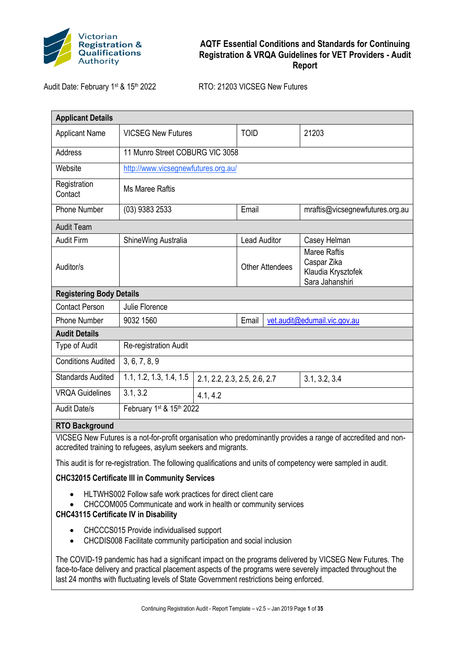

Audit Date: February 1st & 15th 2022 RTO: 21203 VICSEG New Futures

| <b>Applicant Details</b>                                                                                                                                                       |                                     |          |                              |                                                                             |  |
|--------------------------------------------------------------------------------------------------------------------------------------------------------------------------------|-------------------------------------|----------|------------------------------|-----------------------------------------------------------------------------|--|
| <b>Applicant Name</b>                                                                                                                                                          | <b>VICSEG New Futures</b>           |          | <b>TOID</b>                  | 21203                                                                       |  |
| Address                                                                                                                                                                        | 11 Munro Street COBURG VIC 3058     |          |                              |                                                                             |  |
| Website                                                                                                                                                                        | http://www.vicsegnewfutures.org.au/ |          |                              |                                                                             |  |
| Registration<br>Contact                                                                                                                                                        | <b>Ms Maree Raftis</b>              |          |                              |                                                                             |  |
| <b>Phone Number</b>                                                                                                                                                            | (03) 9383 2533                      |          | Email                        | mraftis@vicsegnewfutures.org.au                                             |  |
| <b>Audit Team</b>                                                                                                                                                              |                                     |          |                              |                                                                             |  |
| <b>Audit Firm</b>                                                                                                                                                              | ShineWing Australia                 |          | <b>Lead Auditor</b>          | Casey Helman                                                                |  |
| Auditor/s                                                                                                                                                                      |                                     |          | <b>Other Attendees</b>       | <b>Maree Raftis</b><br>Caspar Zika<br>Klaudia Krysztofek<br>Sara Jahanshiri |  |
| <b>Registering Body Details</b>                                                                                                                                                |                                     |          |                              |                                                                             |  |
| <b>Contact Person</b>                                                                                                                                                          | Julie Florence                      |          |                              |                                                                             |  |
| <b>Phone Number</b>                                                                                                                                                            | 9032 1560                           |          | Email                        | vet.audit@edumail.vic.gov.au                                                |  |
| <b>Audit Details</b>                                                                                                                                                           |                                     |          |                              |                                                                             |  |
| Type of Audit                                                                                                                                                                  | Re-registration Audit               |          |                              |                                                                             |  |
| <b>Conditions Audited</b>                                                                                                                                                      | 3, 6, 7, 8, 9                       |          |                              |                                                                             |  |
| <b>Standards Audited</b>                                                                                                                                                       | 1.1, 1.2, 1.3, 1.4, 1.5             |          | 2.1, 2.2, 2.3, 2.5, 2.6, 2.7 | 3.1, 3.2, 3.4                                                               |  |
| <b>VRQA Guidelines</b>                                                                                                                                                         | 3.1, 3.2                            | 4.1, 4.2 |                              |                                                                             |  |
| <b>Audit Date/s</b>                                                                                                                                                            | February 1st & 15th 2022            |          |                              |                                                                             |  |
| <b>RTO Background</b>                                                                                                                                                          |                                     |          |                              |                                                                             |  |
| VICSEG New Futures is a not-for-profit organisation who predominantly provides a range of accredited and non-<br>accredited training to refugees, asylum seekers and migrants. |                                     |          |                              |                                                                             |  |
| This audit is for re-registration. The following qualifications and units of competency were sampled in audit.                                                                 |                                     |          |                              |                                                                             |  |
| <b>CHC32015 Certificate III in Community Services</b>                                                                                                                          |                                     |          |                              |                                                                             |  |
| HLTWHS002 Follow safe work practices for direct client care<br>CHCCOM005 Communicate and work in health or community services<br><b>CHC43115 Certificate IV in Disability</b>  |                                     |          |                              |                                                                             |  |

- CHCCCS015 Provide individualised support
- CHCDIS008 Facilitate community participation and social inclusion

The COVID-19 pandemic has had a significant impact on the programs delivered by VICSEG New Futures. The face-to-face delivery and practical placement aspects of the programs were severely impacted throughout the last 24 months with fluctuating levels of State Government restrictions being enforced.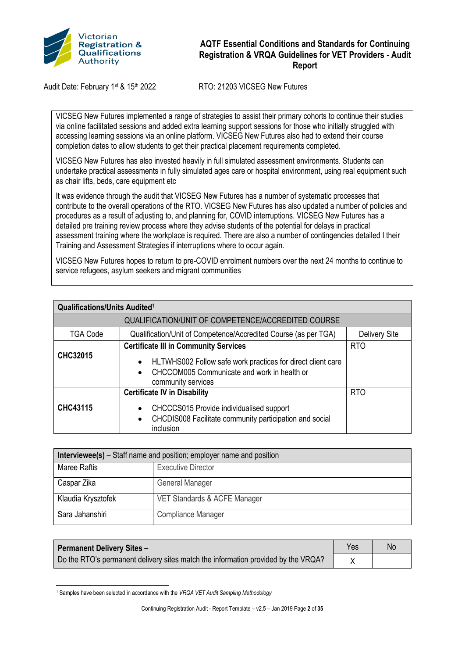

Audit Date: February 1<sup>st</sup> & 15<sup>th</sup> 2022 RTO: 21203 VICSEG New Futures

VICSEG New Futures implemented a range of strategies to assist their primary cohorts to continue their studies via online facilitated sessions and added extra learning support sessions for those who initially struggled with accessing learning sessions via an online platform. VICSEG New Futures also had to extend their course completion dates to allow students to get their practical placement requirements completed.

VICSEG New Futures has also invested heavily in full simulated assessment environments. Students can undertake practical assessments in fully simulated ages care or hospital environment, using real equipment such as chair lifts, beds, care equipment etc

It was evidence through the audit that VICSEG New Futures has a number of systematic processes that contribute to the overall operations of the RTO. VICSEG New Futures has also updated a number of policies and procedures as a result of adjusting to, and planning for, COVID interruptions. VICSEG New Futures has a detailed pre training review process where they advise students of the potential for delays in practical assessment training where the workplace is required. There are also a number of contingencies detailed I their Training and Assessment Strategies if interruptions where to occur again.

VICSEG New Futures hopes to return to pre-COVID enrolment numbers over the next 24 months to continue to service refugees, asylum seekers and migrant communities

| <b>Qualifications/Units Audited1</b> |                                                                                                                                                                                               |               |  |  |  |
|--------------------------------------|-----------------------------------------------------------------------------------------------------------------------------------------------------------------------------------------------|---------------|--|--|--|
|                                      | QUALIFICATION/UNIT OF COMPETENCE/ACCREDITED COURSE                                                                                                                                            |               |  |  |  |
| <b>TGA Code</b>                      | Qualification/Unit of Competence/Accredited Course (as per TGA)                                                                                                                               | Delivery Site |  |  |  |
| <b>CHC32015</b>                      | <b>Certificate III in Community Services</b><br>HLTWHS002 Follow safe work practices for direct client care<br>$\bullet$<br>CHCCOM005 Communicate and work in health or<br>community services | <b>RTO</b>    |  |  |  |
| CHC43115                             | <b>Certificate IV in Disability</b><br>CHCCCS015 Provide individualised support<br>CHCDIS008 Facilitate community participation and social<br>$\bullet$<br>inclusion                          | <b>RTO</b>    |  |  |  |

| <b>Interviewee(s)</b> – Staff name and position; employer name and position |                              |  |
|-----------------------------------------------------------------------------|------------------------------|--|
| Maree Raftis                                                                | <b>Executive Director</b>    |  |
| Caspar Zika                                                                 | General Manager              |  |
| Klaudia Krysztofek                                                          | VET Standards & ACFE Manager |  |
| Sara Jahanshiri                                                             | Compliance Manager           |  |

| <b>Permanent Delivery Sites -</b>                                                 | <b>Yes</b> | Νo |
|-----------------------------------------------------------------------------------|------------|----|
| Do the RTO's permanent delivery sites match the information provided by the VRQA? |            |    |

<sup>1</sup> Samples have been selected in accordance with the *VRQA VET Audit Sampling Methodology*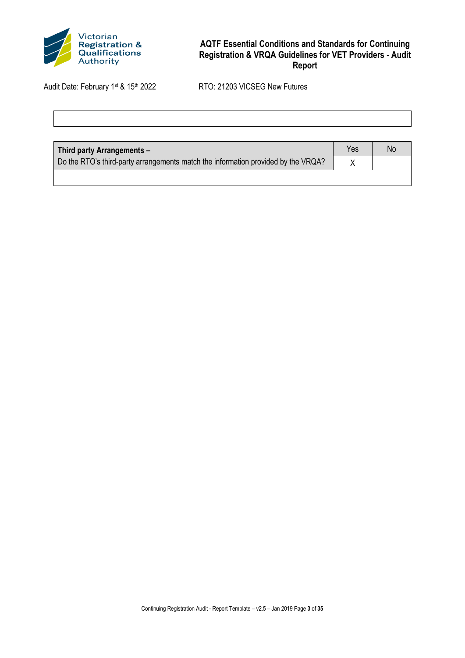

| <b>Third party Arrangements -</b>                                                 | Yes | Νc |
|-----------------------------------------------------------------------------------|-----|----|
| Do the RTO's third-party arrangements match the information provided by the VRQA? |     |    |
|                                                                                   |     |    |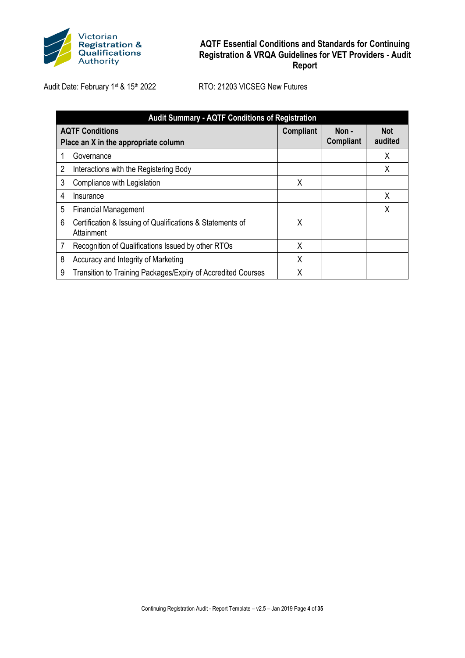

| <b>Audit Summary - AQTF Conditions of Registration</b> |                                                                         |                  |                           |                       |
|--------------------------------------------------------|-------------------------------------------------------------------------|------------------|---------------------------|-----------------------|
|                                                        | <b>AQTF Conditions</b><br>Place an X in the appropriate column          | <b>Compliant</b> | Non -<br><b>Compliant</b> | <b>Not</b><br>audited |
|                                                        | Governance                                                              |                  |                           | x                     |
| $\overline{c}$                                         | Interactions with the Registering Body                                  |                  |                           | Χ                     |
| 3                                                      | Compliance with Legislation                                             | X                |                           |                       |
| 4                                                      | Insurance                                                               |                  |                           | X                     |
| 5                                                      | <b>Financial Management</b>                                             |                  |                           | Χ                     |
| 6                                                      | Certification & Issuing of Qualifications & Statements of<br>Attainment | X                |                           |                       |
| 7                                                      | Recognition of Qualifications Issued by other RTOs                      | χ                |                           |                       |
| 8                                                      | Accuracy and Integrity of Marketing                                     | χ                |                           |                       |
| 9                                                      | Transition to Training Packages/Expiry of Accredited Courses            | Χ                |                           |                       |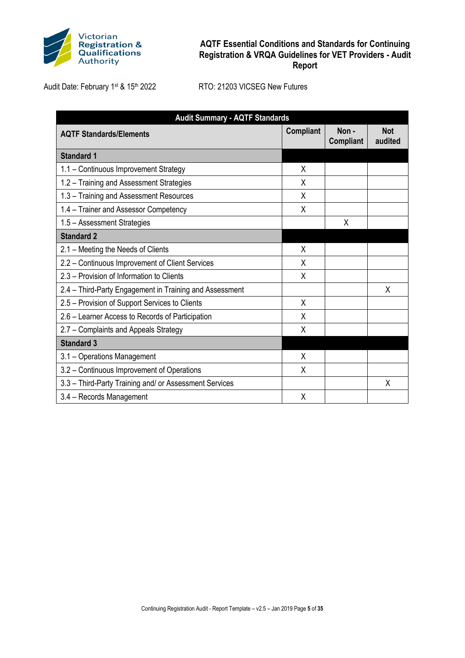

| <b>Audit Summary - AQTF Standards</b>                   |                  |                          |                       |  |
|---------------------------------------------------------|------------------|--------------------------|-----------------------|--|
| <b>AQTF Standards/Elements</b>                          | <b>Compliant</b> | Non-<br><b>Compliant</b> | <b>Not</b><br>audited |  |
| <b>Standard 1</b>                                       |                  |                          |                       |  |
| 1.1 - Continuous Improvement Strategy                   | X                |                          |                       |  |
| 1.2 - Training and Assessment Strategies                | X                |                          |                       |  |
| 1.3 - Training and Assessment Resources                 | X                |                          |                       |  |
| 1.4 - Trainer and Assessor Competency                   | X                |                          |                       |  |
| 1.5 - Assessment Strategies                             |                  | Χ                        |                       |  |
| <b>Standard 2</b>                                       |                  |                          |                       |  |
| 2.1 - Meeting the Needs of Clients                      | X                |                          |                       |  |
| 2.2 - Continuous Improvement of Client Services         | X                |                          |                       |  |
| 2.3 – Provision of Information to Clients               | X                |                          |                       |  |
| 2.4 – Third-Party Engagement in Training and Assessment |                  |                          | X                     |  |
| 2.5 - Provision of Support Services to Clients          | X                |                          |                       |  |
| 2.6 - Learner Access to Records of Participation        | X                |                          |                       |  |
| 2.7 - Complaints and Appeals Strategy                   | X                |                          |                       |  |
| <b>Standard 3</b>                                       |                  |                          |                       |  |
| 3.1 - Operations Management                             | X                |                          |                       |  |
| 3.2 - Continuous Improvement of Operations              | X                |                          |                       |  |
| 3.3 - Third-Party Training and/ or Assessment Services  |                  |                          | X                     |  |
| 3.4 - Records Management                                | Χ                |                          |                       |  |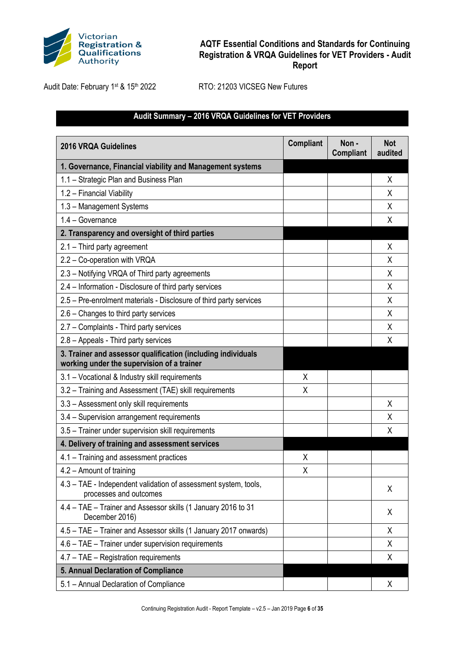

Audit Date: February 1st & 15th 2022 RTO: 21203 VICSEG New Futures

# **Audit Summary – 2016 VRQA Guidelines for VET Providers**

| <b>2016 VRQA Guidelines</b>                                                                                | <b>Compliant</b> | Non-<br><b>Compliant</b> | <b>Not</b><br>audited |
|------------------------------------------------------------------------------------------------------------|------------------|--------------------------|-----------------------|
| 1. Governance, Financial viability and Management systems                                                  |                  |                          |                       |
| 1.1 - Strategic Plan and Business Plan                                                                     |                  |                          | X                     |
| 1.2 - Financial Viability                                                                                  |                  |                          | X                     |
| 1.3 - Management Systems                                                                                   |                  |                          | X                     |
| 1.4 - Governance                                                                                           |                  |                          | X                     |
| 2. Transparency and oversight of third parties                                                             |                  |                          |                       |
| 2.1 - Third party agreement                                                                                |                  |                          | X                     |
| 2.2 - Co-operation with VRQA                                                                               |                  |                          | X                     |
| 2.3 - Notifying VRQA of Third party agreements                                                             |                  |                          | X                     |
| 2.4 - Information - Disclosure of third party services                                                     |                  |                          | Χ                     |
| 2.5 - Pre-enrolment materials - Disclosure of third party services                                         |                  |                          | X                     |
| 2.6 - Changes to third party services                                                                      |                  |                          | X                     |
| 2.7 - Complaints - Third party services                                                                    |                  |                          | Χ                     |
| 2.8 - Appeals - Third party services                                                                       |                  |                          | X                     |
| 3. Trainer and assessor qualification (including individuals<br>working under the supervision of a trainer |                  |                          |                       |
| 3.1 - Vocational & Industry skill requirements                                                             | X                |                          |                       |
| 3.2 - Training and Assessment (TAE) skill requirements                                                     | Χ                |                          |                       |
| 3.3 - Assessment only skill requirements                                                                   |                  |                          | X                     |
| 3.4 - Supervision arrangement requirements                                                                 |                  |                          | χ                     |
| 3.5 - Trainer under supervision skill requirements                                                         |                  |                          | X                     |
| 4. Delivery of training and assessment services                                                            |                  |                          |                       |
| 4.1 - Training and assessment practices                                                                    | X                |                          |                       |
| 4.2 - Amount of training                                                                                   | X                |                          |                       |
| 4.3 - TAE - Independent validation of assessment system, tools,<br>processes and outcomes                  |                  |                          | X                     |
| 4.4 - TAE - Trainer and Assessor skills (1 January 2016 to 31<br>December 2016)                            |                  |                          | X                     |
| 4.5 - TAE - Trainer and Assessor skills (1 January 2017 onwards)                                           |                  |                          | X                     |
| 4.6 - TAE - Trainer under supervision requirements                                                         |                  |                          | X                     |
| 4.7 - TAE - Registration requirements                                                                      |                  |                          | X                     |
| 5. Annual Declaration of Compliance                                                                        |                  |                          |                       |
| 5.1 - Annual Declaration of Compliance                                                                     |                  |                          | X                     |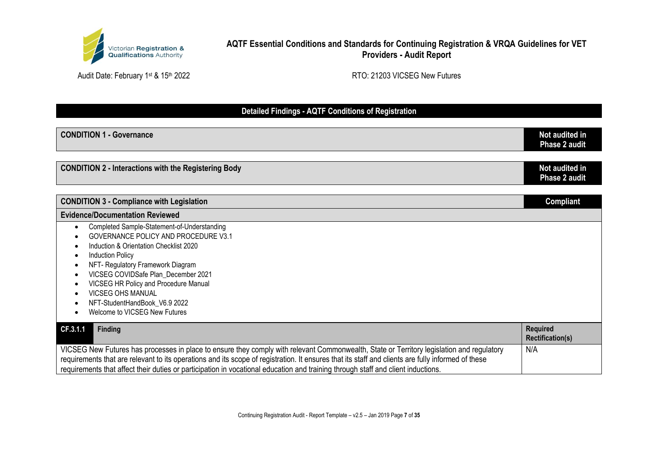

Audit Date: February 1st & 15th 2022 **RTO: 21203 VICSEG New Futures** 

# **Detailed Findings - AQTF Conditions of Registration**

| <b>CONDITION 1 - Governance</b>                                                                                                                                                                                                                                                                                                                                                                                                    | Not audited in<br>Phase 2 audit            |
|------------------------------------------------------------------------------------------------------------------------------------------------------------------------------------------------------------------------------------------------------------------------------------------------------------------------------------------------------------------------------------------------------------------------------------|--------------------------------------------|
| <b>CONDITION 2 - Interactions with the Registering Body</b>                                                                                                                                                                                                                                                                                                                                                                        | Not audited in<br><b>Phase 2 audit</b>     |
| <b>CONDITION 3 - Compliance with Legislation</b>                                                                                                                                                                                                                                                                                                                                                                                   | <b>Compliant</b>                           |
| <b>Evidence/Documentation Reviewed</b>                                                                                                                                                                                                                                                                                                                                                                                             |                                            |
| Completed Sample-Statement-of-Understanding<br>$\bullet$<br>GOVERNANCE POLICY AND PROCEDURE V3.1<br>Induction & Orientation Checklist 2020<br><b>Induction Policy</b><br>NFT- Regulatory Framework Diagram<br>VICSEG COVIDSafe Plan_December 2021<br>VICSEG HR Policy and Procedure Manual<br>VICSEG OHS MANUAL<br>NFT-StudentHandBook_V6.9 2022<br>Welcome to VICSEG New Futures                                                  |                                            |
| CF.3.1.1<br><b>Finding</b>                                                                                                                                                                                                                                                                                                                                                                                                         | <b>Required</b><br><b>Rectification(s)</b> |
| VICSEG New Futures has processes in place to ensure they comply with relevant Commonwealth, State or Territory legislation and regulatory<br>requirements that are relevant to its operations and its scope of registration. It ensures that its staff and clients are fully informed of these<br>requirements that affect their duties or participation in vocational education and training through staff and client inductions. | N/A                                        |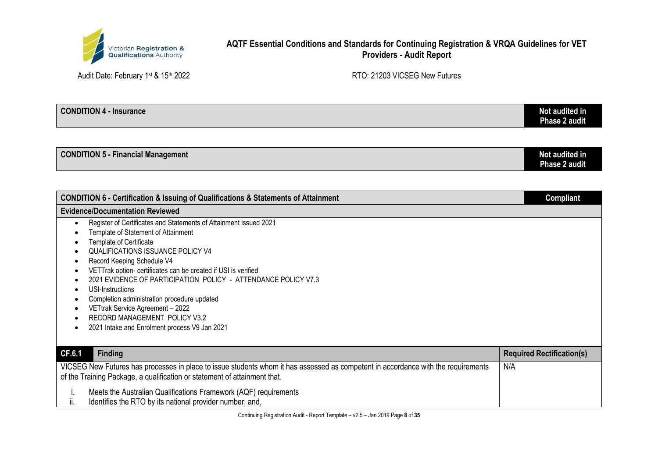

Audit Date: February 1st & 15th 2022 **RTO: 21203 VICSEG New Futures** 

| <b>CONDITION 4 - Insurance</b> | Not audited in<br>Phase 2 audit |
|--------------------------------|---------------------------------|
|                                |                                 |

| <b>CONDITION 5 - Financial Management</b> | Not audited in |
|-------------------------------------------|----------------|
|                                           | Phase 2 audit  |

| <b>CONDITION 6 - Certification &amp; Issuing of Qualifications &amp; Statements of Attainment</b>                                                                                                                                                                                                                                                                                                                                                                                                                                                            | <b>Compliant</b>                 |
|--------------------------------------------------------------------------------------------------------------------------------------------------------------------------------------------------------------------------------------------------------------------------------------------------------------------------------------------------------------------------------------------------------------------------------------------------------------------------------------------------------------------------------------------------------------|----------------------------------|
| <b>Evidence/Documentation Reviewed</b>                                                                                                                                                                                                                                                                                                                                                                                                                                                                                                                       |                                  |
| Register of Certificates and Statements of Attainment issued 2021<br>$\bullet$<br>Template of Statement of Attainment<br>Template of Certificate<br><b>QUALIFICATIONS ISSUANCE POLICY V4</b><br>Record Keeping Schedule V4<br>VETTrak option- certificates can be created if USI is verified<br>2021 EVIDENCE OF PARTICIPATION POLICY - ATTENDANCE POLICY V7.3<br>USI-Instructions<br>٠<br>Completion administration procedure updated<br>VETtrak Service Agreement - 2022<br>RECORD MANAGEMENT POLICY V3.2<br>2021 Intake and Enrolment process V9 Jan 2021 |                                  |
| CF.6.1<br><b>Finding</b>                                                                                                                                                                                                                                                                                                                                                                                                                                                                                                                                     | <b>Required Rectification(s)</b> |
| VICSEG New Futures has processes in place to issue students whom it has assessed as competent in accordance with the requirements<br>N/A<br>of the Training Package, a qualification or statement of attainment that.                                                                                                                                                                                                                                                                                                                                        |                                  |
| Meets the Australian Qualifications Framework (AQF) requirements<br>ii.<br>Identifies the RTO by its national provider number, and,                                                                                                                                                                                                                                                                                                                                                                                                                          |                                  |

Continuing Registration Audit - Report Template – v2.5 – Jan 2019 Page **8** of **35**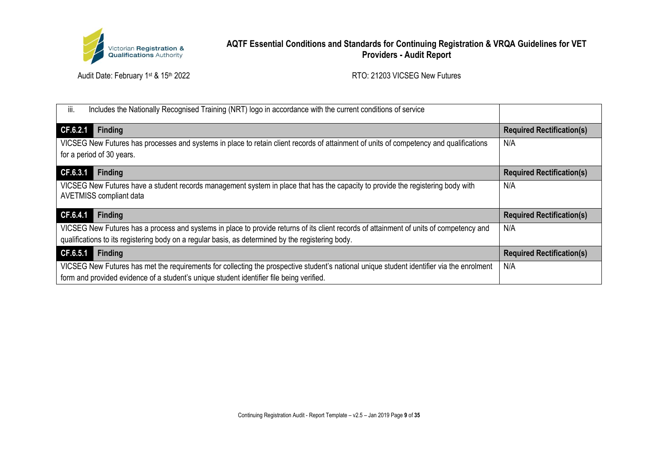

| Includes the Nationally Recognised Training (NRT) logo in accordance with the current conditions of service<br>III.                       |                                  |
|-------------------------------------------------------------------------------------------------------------------------------------------|----------------------------------|
| CF.6.2.1<br><b>Finding</b>                                                                                                                | <b>Required Rectification(s)</b> |
| VICSEG New Futures has processes and systems in place to retain client records of attainment of units of competency and qualifications    | N/A                              |
| for a period of 30 years.                                                                                                                 |                                  |
| CF.6.3.1<br><b>Finding</b>                                                                                                                | <b>Required Rectification(s)</b> |
| VICSEG New Futures have a student records management system in place that has the capacity to provide the registering body with           | N/A                              |
| <b>AVETMISS compliant data</b>                                                                                                            |                                  |
| CF.6.4.1<br><b>Finding</b>                                                                                                                | <b>Required Rectification(s)</b> |
| VICSEG New Futures has a process and systems in place to provide returns of its client records of attainment of units of competency and   | N/A                              |
| qualifications to its registering body on a regular basis, as determined by the registering body.                                         |                                  |
| CF.6.5.1<br><b>Finding</b>                                                                                                                | <b>Required Rectification(s)</b> |
| VICSEG New Futures has met the requirements for collecting the prospective student's national unique student identifier via the enrolment | N/A                              |
| form and provided evidence of a student's unique student identifier file being verified.                                                  |                                  |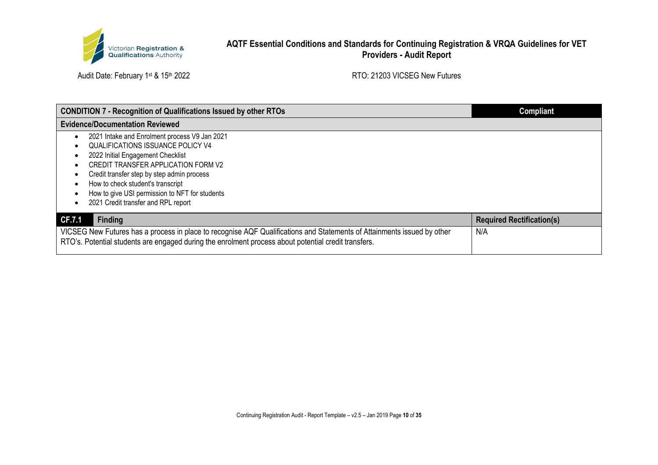

| <b>CONDITION 7 - Recognition of Qualifications Issued by other RTOs</b>                                                 | Compliant                        |
|-------------------------------------------------------------------------------------------------------------------------|----------------------------------|
| <b>Evidence/Documentation Reviewed</b>                                                                                  |                                  |
| 2021 Intake and Enrolment process V9 Jan 2021                                                                           |                                  |
| QUALIFICATIONS ISSUANCE POLICY V4                                                                                       |                                  |
| 2022 Initial Engagement Checklist                                                                                       |                                  |
| CREDIT TRANSFER APPLICATION FORM V2                                                                                     |                                  |
| Credit transfer step by step admin process                                                                              |                                  |
| How to check student's transcript                                                                                       |                                  |
| How to give USI permission to NFT for students                                                                          |                                  |
| 2021 Credit transfer and RPL report                                                                                     |                                  |
| <b>Finding</b><br>CF.7.1                                                                                                | <b>Required Rectification(s)</b> |
| VICSEG New Futures has a process in place to recognise AQF Qualifications and Statements of Attainments issued by other | N/A                              |
| RTO's. Potential students are engaged during the enrolment process about potential credit transfers.                    |                                  |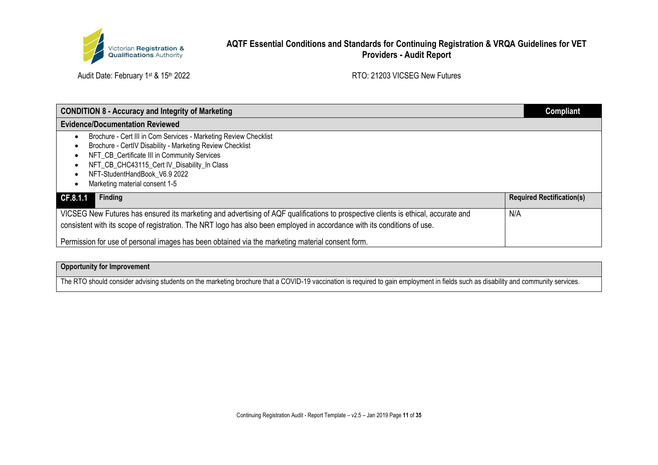

Audit Date: February 1st & 15th 2022 Audit Date: February 1st & 15th 2022

| <b>CONDITION 8 - Accuracy and Integrity of Marketing</b>                                                                                  | <b>Compliant</b>                 |
|-------------------------------------------------------------------------------------------------------------------------------------------|----------------------------------|
| <b>Evidence/Documentation Reviewed</b>                                                                                                    |                                  |
| Brochure - Cert III in Com Services - Marketing Review Checklist                                                                          |                                  |
| Brochure - CertIV Disability - Marketing Review Checklist                                                                                 |                                  |
| NFT CB Certificate III in Community Services                                                                                              |                                  |
| NFT_CB_CHC43115_Cert IV_Disability_In Class                                                                                               |                                  |
| NFT-StudentHandBook V6.9 2022                                                                                                             |                                  |
| Marketing material consent 1-5                                                                                                            |                                  |
| Finding<br>CF.8.1.1                                                                                                                       | <b>Required Rectification(s)</b> |
| VICSEG New Futures has ensured its marketing and advertising of AQF qualifications to prospective clients is ethical, accurate and<br>N/A |                                  |
| consistent with its scope of registration. The NRT logo has also been employed in accordance with its conditions of use.                  |                                  |
| Permission for use of personal images has been obtained via the marketing material consent form.                                          |                                  |

#### **Opportunity for Improvement**

The RTO should consider advising students on the marketing brochure that a COVID-19 vaccination is required to gain employment in fields such as disability and community services.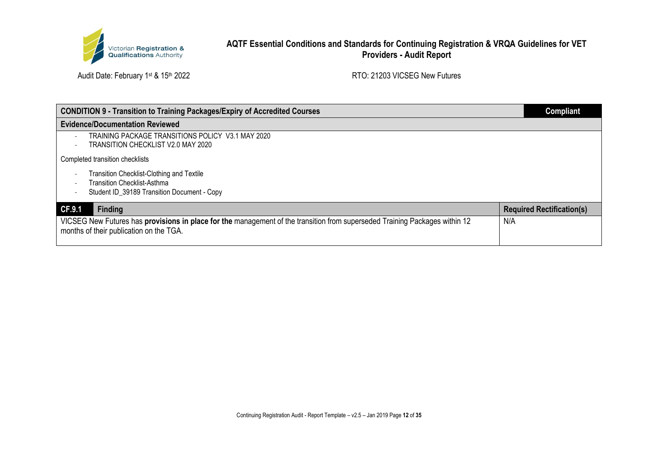

| <b>CONDITION 9 - Transition to Training Packages/Expiry of Accredited Courses</b>                                                                                      | <b>Compliant</b>                 |
|------------------------------------------------------------------------------------------------------------------------------------------------------------------------|----------------------------------|
| <b>Evidence/Documentation Reviewed</b>                                                                                                                                 |                                  |
| TRAINING PACKAGE TRANSITIONS POLICY V3.1 MAY 2020<br>TRANSITION CHECKLIST V2.0 MAY 2020<br>$\overline{\phantom{0}}$                                                    |                                  |
| Completed transition checklists                                                                                                                                        |                                  |
| Transition Checklist-Clothing and Textile                                                                                                                              |                                  |
| <b>Transition Checklist-Asthma</b><br>Student ID 39189 Transition Document - Copy                                                                                      |                                  |
| <b>Finding</b><br>CF.9.1                                                                                                                                               | <b>Required Rectification(s)</b> |
| VICSEG New Futures has provisions in place for the management of the transition from superseded Training Packages within 12<br>months of their publication on the TGA. | N/A                              |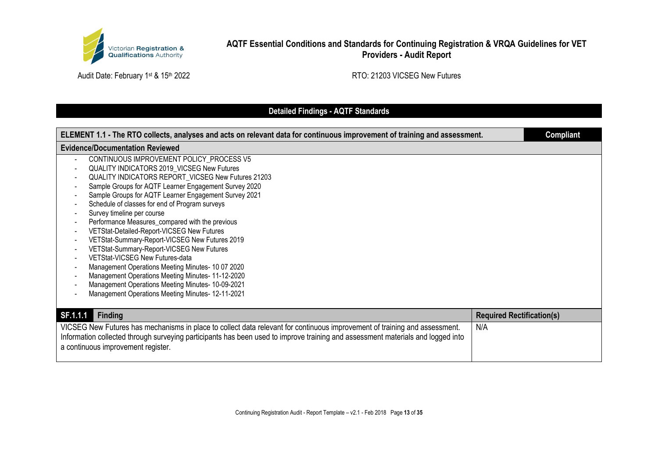

Audit Date: February 1st & 15th 2022 Audit Date: February 1st & 15th 2022

# **Detailed Findings - AQTF Standards**

| ELEMENT 1.1 - The RTO collects, analyses and acts on relevant data for continuous improvement of training and assessment.       |                                  | <b>Compliant</b> |
|---------------------------------------------------------------------------------------------------------------------------------|----------------------------------|------------------|
| <b>Evidence/Documentation Reviewed</b>                                                                                          |                                  |                  |
| CONTINUOUS IMPROVEMENT POLICY_PROCESS V5                                                                                        |                                  |                  |
| QUALITY INDICATORS 2019_VICSEG New Futures                                                                                      |                                  |                  |
| QUALITY INDICATORS REPORT_VICSEG New Futures 21203                                                                              |                                  |                  |
| Sample Groups for AQTF Learner Engagement Survey 2020                                                                           |                                  |                  |
| Sample Groups for AQTF Learner Engagement Survey 2021                                                                           |                                  |                  |
| Schedule of classes for end of Program surveys                                                                                  |                                  |                  |
| Survey timeline per course                                                                                                      |                                  |                  |
| Performance Measures_compared with the previous                                                                                 |                                  |                  |
| VETStat-Detailed-Report-VICSEG New Futures                                                                                      |                                  |                  |
| VETStat-Summary-Report-VICSEG New Futures 2019                                                                                  |                                  |                  |
| VETStat-Summary-Report-VICSEG New Futures                                                                                       |                                  |                  |
| VETStat-VICSEG New Futures-data                                                                                                 |                                  |                  |
| Management Operations Meeting Minutes- 10 07 2020                                                                               |                                  |                  |
| Management Operations Meeting Minutes- 11-12-2020                                                                               |                                  |                  |
| Management Operations Meeting Minutes- 10-09-2021                                                                               |                                  |                  |
| Management Operations Meeting Minutes- 12-11-2021                                                                               |                                  |                  |
|                                                                                                                                 |                                  |                  |
| SF.1.1.1<br><b>Finding</b>                                                                                                      | <b>Required Rectification(s)</b> |                  |
| VICSEG New Futures has mechanisms in place to collect data relevant for continuous improvement of training and assessment.      | N/A                              |                  |
| Information collected through surveying participants has been used to improve training and assessment materials and logged into |                                  |                  |
| a continuous improvement register.                                                                                              |                                  |                  |
|                                                                                                                                 |                                  |                  |
|                                                                                                                                 |                                  |                  |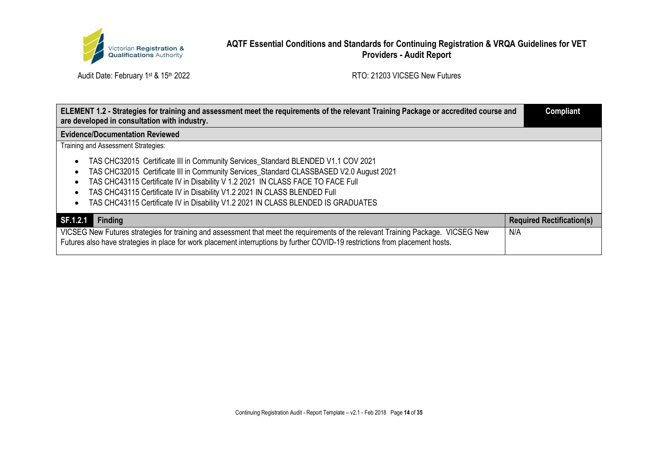

| ELEMENT 1.2 - Strategies for training and assessment meet the requirements of the relevant Training Package or accredited course and<br>are developed in consultation with industry.                                                                               | <b>Compliant</b>                 |
|--------------------------------------------------------------------------------------------------------------------------------------------------------------------------------------------------------------------------------------------------------------------|----------------------------------|
| <b>Evidence/Documentation Reviewed</b>                                                                                                                                                                                                                             |                                  |
| Training and Assessment Strategies:                                                                                                                                                                                                                                |                                  |
| TAS CHC32015 Certificate III in Community Services_Standard BLENDED V1.1 COV 2021                                                                                                                                                                                  |                                  |
| TAS CHC32015 Certificate III in Community Services_Standard CLASSBASED V2.0 August 2021                                                                                                                                                                            |                                  |
| TAS CHC43115 Certificate IV in Disability V 1.2 2021 IN CLASS FACE TO FACE Full                                                                                                                                                                                    |                                  |
| TAS CHC43115 Certificate IV in Disability V1.2 2021 IN CLASS BLENDED Full                                                                                                                                                                                          |                                  |
| TAS CHC43115 Certificate IV in Disability V1.2 2021 IN CLASS BLENDED IS GRADUATES                                                                                                                                                                                  |                                  |
| SF.1.2.1<br><b>Finding</b>                                                                                                                                                                                                                                         | <b>Required Rectification(s)</b> |
| VICSEG New Futures strategies for training and assessment that meet the requirements of the relevant Training Package. VICSEG New<br>Futures also have strategies in place for work placement interruptions by further COVID-19 restrictions from placement hosts. | N/A                              |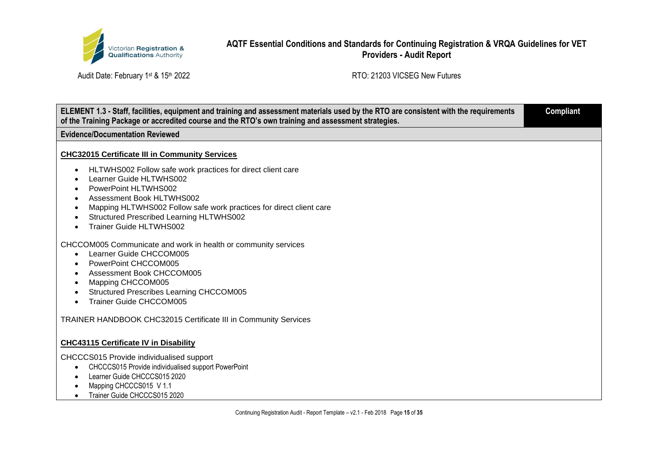

| ELEMENT 1.3 - Staff, facilities, equipment and training and assessment materials used by the RTO are consistent with the requirements<br><b>Compliant</b><br>of the Training Package or accredited course and the RTO's own training and assessment strategies.                                                |  |
|----------------------------------------------------------------------------------------------------------------------------------------------------------------------------------------------------------------------------------------------------------------------------------------------------------------|--|
| <b>Evidence/Documentation Reviewed</b>                                                                                                                                                                                                                                                                         |  |
| <b>CHC32015 Certificate III in Community Services</b>                                                                                                                                                                                                                                                          |  |
| HLTWHS002 Follow safe work practices for direct client care<br>Learner Guide HLTWHS002<br><b>PowerPoint HLTWHS002</b><br><b>Assessment Book HLTWHS002</b><br>Mapping HLTWHS002 Follow safe work practices for direct client care<br><b>Structured Prescribed Learning HLTWHS002</b><br>Trainer Guide HLTWHS002 |  |
| CHCCOM005 Communicate and work in health or community services<br>Learner Guide CHCCOM005<br>PowerPoint CHCCOM005<br>$\bullet$<br><b>Assessment Book CHCCOM005</b><br>Mapping CHCCOM005<br>$\bullet$<br><b>Structured Prescribes Learning CHCCOM005</b><br>Trainer Guide CHCCOM005                             |  |
| TRAINER HANDBOOK CHC32015 Certificate III in Community Services                                                                                                                                                                                                                                                |  |
| <b>CHC43115 Certificate IV in Disability</b>                                                                                                                                                                                                                                                                   |  |
| CHCCCS015 Provide individualised support<br>CHCCCS015 Provide individualised support PowerPoint<br>$\bullet$<br>Learner Guide CHCCCS015 2020<br>Mapping CHCCCS015 V 1.1<br>$\bullet$<br>Trainer Guide CHCCCS015 2020                                                                                           |  |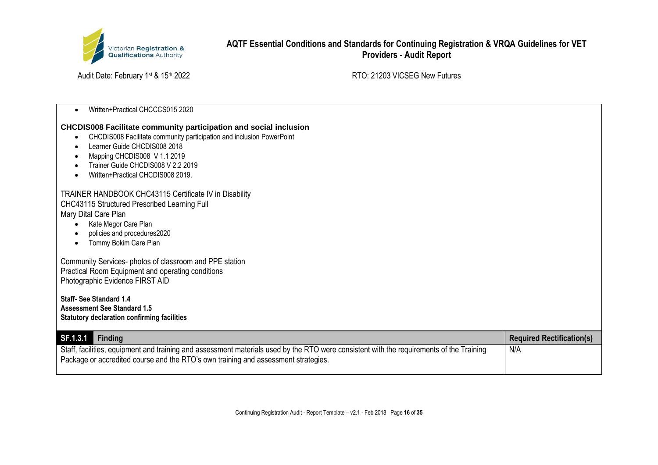

Audit Date: February 1st & 15th 2022 Audit Date: February 1st & 15th 2022

|  | Written+Practical CHCCCS015 2020 |
|--|----------------------------------|
|--|----------------------------------|

### **CHCDIS008 Facilitate community participation and social inclusion**

- CHCDIS008 Facilitate community participation and inclusion PowerPoint
- Learner Guide CHCDIS008 2018
- Mapping CHCDIS008 V 1.1 2019
- Trainer Guide CHCDIS008 V 2.2 2019
- Written+Practical CHCDIS008 2019.

### TRAINER HANDBOOK CHC43115 Certificate IV in Disability CHC43115 Structured Prescribed Learning Full

Mary Dital Care Plan

- Kate Megor Care Plan
- policies and procedures2020
- Tommy Bokim Care Plan

Community Services- photos of classroom and PPE station Practical Room Equipment and operating conditions Photographic Evidence FIRST AID

**Staff- See Standard 1.4 Assessment See Standard 1.5 Statutory declaration confirming facilities**

| $SF.1.3.1$ Finding                                                                                                                                                                                                             | <b>Required Rectification(s)</b> |
|--------------------------------------------------------------------------------------------------------------------------------------------------------------------------------------------------------------------------------|----------------------------------|
| Staff, facilities, equipment and training and assessment materials used by the RTO were consistent with the requirements of the Training<br>Package or accredited course and the RTO's own training and assessment strategies. | N/A                              |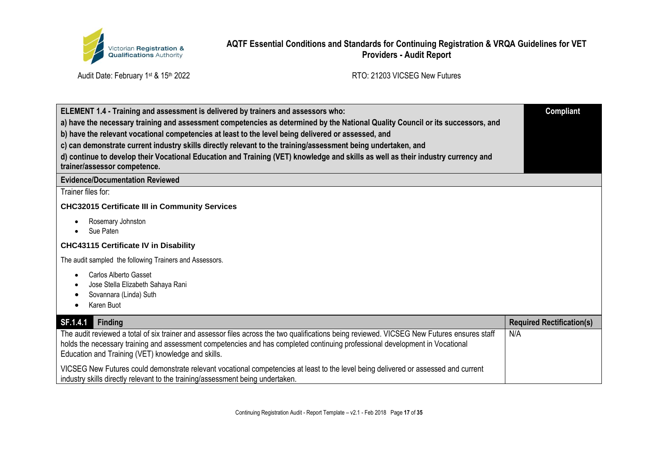

Audit Date: February 1st & 15th 2022 **RTO: 21203 VICSEG New Futures** 

| ELEMENT 1.4 - Training and assessment is delivered by trainers and assessors who:<br>a) have the necessary training and assessment competencies as determined by the National Quality Council or its successors, and<br>b) have the relevant vocational competencies at least to the level being delivered or assessed, and<br>c) can demonstrate current industry skills directly relevant to the training/assessment being undertaken, and<br>d) continue to develop their Vocational Education and Training (VET) knowledge and skills as well as their industry currency and<br>trainer/assessor competence. | <b>Compliant</b>                 |
|------------------------------------------------------------------------------------------------------------------------------------------------------------------------------------------------------------------------------------------------------------------------------------------------------------------------------------------------------------------------------------------------------------------------------------------------------------------------------------------------------------------------------------------------------------------------------------------------------------------|----------------------------------|
| <b>Evidence/Documentation Reviewed</b>                                                                                                                                                                                                                                                                                                                                                                                                                                                                                                                                                                           |                                  |
| Trainer files for:                                                                                                                                                                                                                                                                                                                                                                                                                                                                                                                                                                                               |                                  |
| <b>CHC32015 Certificate III in Community Services</b>                                                                                                                                                                                                                                                                                                                                                                                                                                                                                                                                                            |                                  |
| Rosemary Johnston<br>Sue Paten                                                                                                                                                                                                                                                                                                                                                                                                                                                                                                                                                                                   |                                  |
| <b>CHC43115 Certificate IV in Disability</b>                                                                                                                                                                                                                                                                                                                                                                                                                                                                                                                                                                     |                                  |
| The audit sampled the following Trainers and Assessors.                                                                                                                                                                                                                                                                                                                                                                                                                                                                                                                                                          |                                  |
| <b>Carlos Alberto Gasset</b><br>Jose Stella Elizabeth Sahaya Rani<br>Sovannara (Linda) Suth<br>Karen Buot                                                                                                                                                                                                                                                                                                                                                                                                                                                                                                        |                                  |
| SF.1.4.1<br><b>Finding</b>                                                                                                                                                                                                                                                                                                                                                                                                                                                                                                                                                                                       | <b>Required Rectification(s)</b> |
| The audit reviewed a total of six trainer and assessor files across the two qualifications being reviewed. VICSEG New Futures ensures staff<br>holds the necessary training and assessment competencies and has completed continuing professional development in Vocational<br>Education and Training (VET) knowledge and skills.                                                                                                                                                                                                                                                                                | N/A                              |
| VICSEG New Futures could demonstrate relevant vocational competencies at least to the level being delivered or assessed and current<br>industry skills directly relevant to the training/assessment being undertaken.                                                                                                                                                                                                                                                                                                                                                                                            |                                  |

Continuing Registration Audit - Report Template – v2.1 - Feb 2018 Page **17** of **35**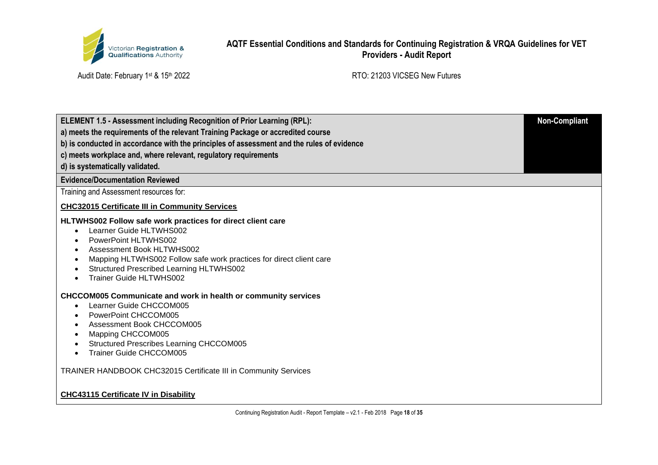

| <b>ELEMENT 1.5 - Assessment including Recognition of Prior Learning (RPL):</b>                                                                                                                                                                                                                                                                                                        | <b>Non-Compliant</b> |
|---------------------------------------------------------------------------------------------------------------------------------------------------------------------------------------------------------------------------------------------------------------------------------------------------------------------------------------------------------------------------------------|----------------------|
| a) meets the requirements of the relevant Training Package or accredited course                                                                                                                                                                                                                                                                                                       |                      |
| b) is conducted in accordance with the principles of assessment and the rules of evidence                                                                                                                                                                                                                                                                                             |                      |
| c) meets workplace and, where relevant, regulatory requirements                                                                                                                                                                                                                                                                                                                       |                      |
| d) is systematically validated.                                                                                                                                                                                                                                                                                                                                                       |                      |
| <b>Evidence/Documentation Reviewed</b>                                                                                                                                                                                                                                                                                                                                                |                      |
| Training and Assessment resources for:                                                                                                                                                                                                                                                                                                                                                |                      |
| <b>CHC32015 Certificate III in Community Services</b>                                                                                                                                                                                                                                                                                                                                 |                      |
| HLTWHS002 Follow safe work practices for direct client care<br>Learner Guide HLTWHS002<br>$\bullet$<br>PowerPoint HLTWHS002<br>$\bullet$<br>Assessment Book HLTWHS002<br>$\bullet$<br>Mapping HLTWHS002 Follow safe work practices for direct client care<br>$\bullet$<br><b>Structured Prescribed Learning HLTWHS002</b><br>$\bullet$<br><b>Trainer Guide HLTWHS002</b><br>$\bullet$ |                      |
| <b>CHCCOM005 Communicate and work in health or community services</b><br>Learner Guide CHCCOM005<br>$\bullet$<br>PowerPoint CHCCOM005<br>٠<br>Assessment Book CHCCOM005<br>Mapping CHCCOM005<br>Structured Prescribes Learning CHCCOM005<br><b>Trainer Guide CHCCOM005</b><br>$\bullet$                                                                                               |                      |
| <b>TRAINER HANDBOOK CHC32015 Certificate III in Community Services</b>                                                                                                                                                                                                                                                                                                                |                      |
| <b>CHC43115 Certificate IV in Disability</b>                                                                                                                                                                                                                                                                                                                                          |                      |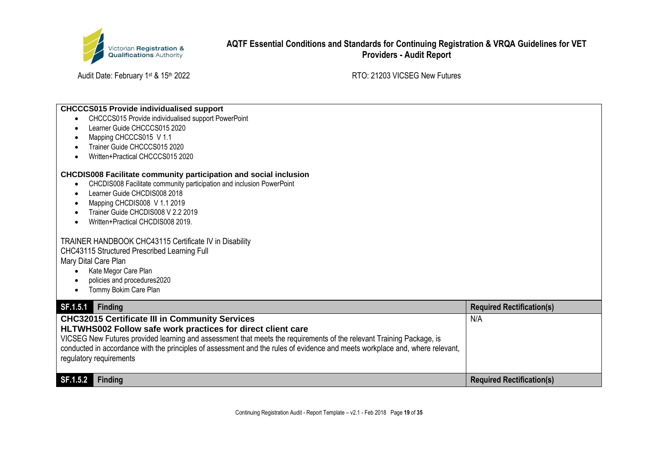

Audit Date: February 1st & 15th 2022 Audit Date: February 1st & 15th 2022

#### **CHCCCS015 Provide individualised support**

- CHCCCS015 Provide individualised support PowerPoint
- Learner Guide CHCCCS015 2020
- Mapping CHCCCS015 V 1.1
- Trainer Guide CHCCCS015 2020
- Written+Practical CHCCCS015 2020

#### **CHCDIS008 Facilitate community participation and social inclusion**

- CHCDIS008 Facilitate community participation and inclusion PowerPoint
- Learner Guide CHCDIS008 2018
- Mapping CHCDIS008 V 1.1 2019
- Trainer Guide CHCDIS008 V 2.2 2019
- Written+Practical CHCDIS008 2019.

#### TRAINER HANDBOOK CHC43115 Certificate IV in Disability CHC43115 Structured Prescribed Learning Full Mary Dital Care Plan

- Kate Megor Care Plan
- policies and procedures2020
- Tommy Bokim Care Plan

| SF.1.5.1<br>Finding                                                                                                                                                                                                                                                                                                                                                                              | <b>Required Rectification(s)</b> |
|--------------------------------------------------------------------------------------------------------------------------------------------------------------------------------------------------------------------------------------------------------------------------------------------------------------------------------------------------------------------------------------------------|----------------------------------|
| CHC32015 Certificate III in Community Services<br>HLTWHS002 Follow safe work practices for direct client care<br>VICSEG New Futures provided learning and assessment that meets the requirements of the relevant Training Package, is<br>conducted in accordance with the principles of assessment and the rules of evidence and meets workplace and, where relevant,<br>regulatory requirements | N/A                              |
| SF.1.5.2<br><b>Finding</b>                                                                                                                                                                                                                                                                                                                                                                       | <b>Required Rectification(s)</b> |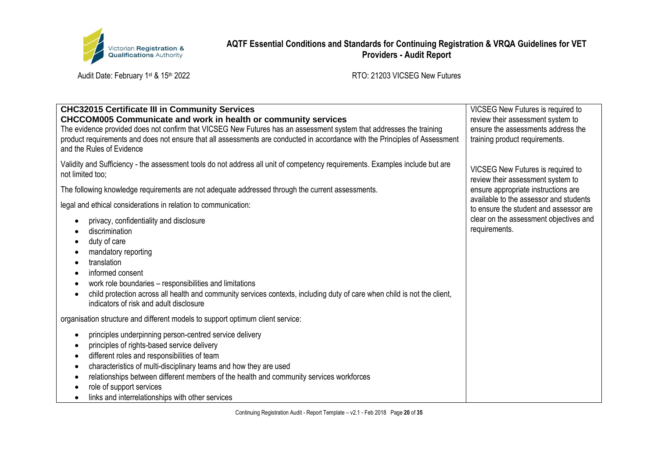

Audit Date: February 1st & 15th 2022 **RTO: 21203 VICSEG New Futures** 

| <b>CHC32015 Certificate III in Community Services</b><br><b>CHCCOM005 Communicate and work in health or community services</b><br>The evidence provided does not confirm that VICSEG New Futures has an assessment system that addresses the training<br>product requirements and does not ensure that all assessments are conducted in accordance with the Principles of Assessment<br>and the Rules of Evidence                                          | VICSEG New Futures is required to<br>review their assessment system to<br>ensure the assessments address the<br>training product requirements. |
|------------------------------------------------------------------------------------------------------------------------------------------------------------------------------------------------------------------------------------------------------------------------------------------------------------------------------------------------------------------------------------------------------------------------------------------------------------|------------------------------------------------------------------------------------------------------------------------------------------------|
| Validity and Sufficiency - the assessment tools do not address all unit of competency requirements. Examples include but are<br>not limited too;                                                                                                                                                                                                                                                                                                           | VICSEG New Futures is required to<br>review their assessment system to                                                                         |
| The following knowledge requirements are not adequate addressed through the current assessments.                                                                                                                                                                                                                                                                                                                                                           | ensure appropriate instructions are                                                                                                            |
| legal and ethical considerations in relation to communication:                                                                                                                                                                                                                                                                                                                                                                                             | available to the assessor and students<br>to ensure the student and assessor are                                                               |
| privacy, confidentiality and disclosure<br>discrimination<br>duty of care<br>mandatory reporting<br>translation<br>informed consent<br>$\bullet$<br>work role boundaries - responsibilities and limitations<br>child protection across all health and community services contexts, including duty of care when child is not the client,<br>indicators of risk and adult disclosure                                                                         | clear on the assessment objectives and<br>requirements.                                                                                        |
| organisation structure and different models to support optimum client service:                                                                                                                                                                                                                                                                                                                                                                             |                                                                                                                                                |
| principles underpinning person-centred service delivery<br>$\bullet$<br>principles of rights-based service delivery<br>$\bullet$<br>different roles and responsibilities of team<br>$\bullet$<br>characteristics of multi-disciplinary teams and how they are used<br>relationships between different members of the health and community services workforces<br>$\bullet$<br>role of support services<br>links and interrelationships with other services |                                                                                                                                                |

Continuing Registration Audit - Report Template – v2.1 - Feb 2018 Page **20** of **35**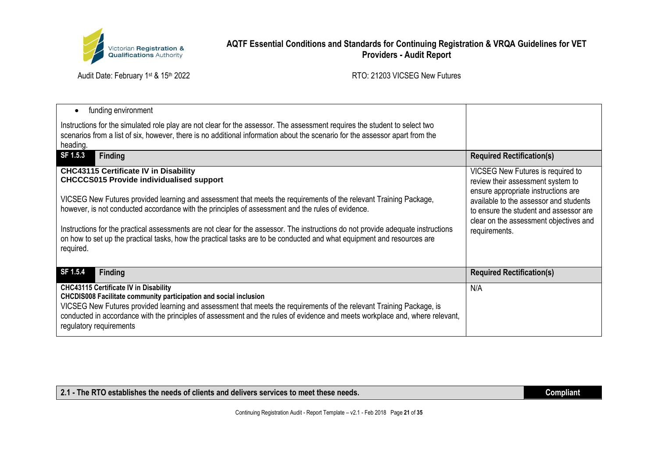

Audit Date: February 1st & 15th 2022 **RTO: 21203 VICSEG New Futures** 

| funding environment<br>$\bullet$                                                                                                                                                                                                                                                                                                                                                                            |                                                                                                                            |
|-------------------------------------------------------------------------------------------------------------------------------------------------------------------------------------------------------------------------------------------------------------------------------------------------------------------------------------------------------------------------------------------------------------|----------------------------------------------------------------------------------------------------------------------------|
| Instructions for the simulated role play are not clear for the assessor. The assessment requires the student to select two<br>scenarios from a list of six, however, there is no additional information about the scenario for the assessor apart from the<br>heading.                                                                                                                                      |                                                                                                                            |
| SF 1.5.3<br><b>Finding</b>                                                                                                                                                                                                                                                                                                                                                                                  | <b>Required Rectification(s)</b>                                                                                           |
| <b>CHC43115 Certificate IV in Disability</b><br><b>CHCCCS015 Provide individualised support</b>                                                                                                                                                                                                                                                                                                             | VICSEG New Futures is required to<br>review their assessment system to<br>ensure appropriate instructions are              |
| VICSEG New Futures provided learning and assessment that meets the requirements of the relevant Training Package,<br>however, is not conducted accordance with the principles of assessment and the rules of evidence.                                                                                                                                                                                      | available to the assessor and students<br>to ensure the student and assessor are<br>clear on the assessment objectives and |
| Instructions for the practical assessments are not clear for the assessor. The instructions do not provide adequate instructions<br>on how to set up the practical tasks, how the practical tasks are to be conducted and what equipment and resources are<br>required.                                                                                                                                     | requirements.                                                                                                              |
| SF 1.5.4<br><b>Finding</b>                                                                                                                                                                                                                                                                                                                                                                                  | <b>Required Rectification(s)</b>                                                                                           |
| <b>CHC43115 Certificate IV in Disability</b><br><b>CHCDIS008 Facilitate community participation and social inclusion</b><br>VICSEG New Futures provided learning and assessment that meets the requirements of the relevant Training Package, is<br>conducted in accordance with the principles of assessment and the rules of evidence and meets workplace and, where relevant,<br>regulatory requirements | N/A                                                                                                                        |

2.1 - The RTO establishes the needs of clients and delivers services to meet these needs.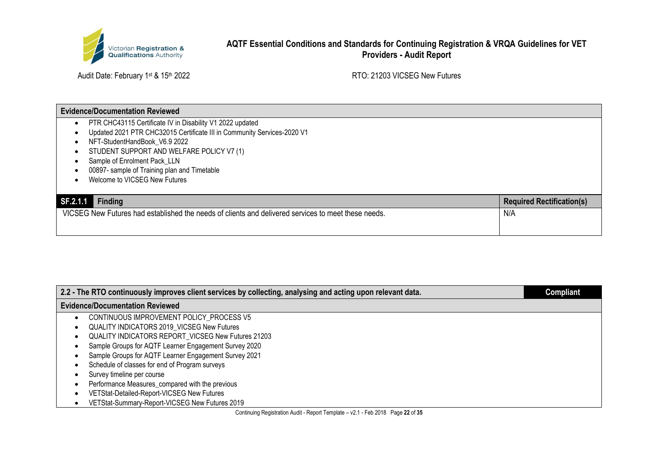

Audit Date: February 1st & 15th 2022 Audit Date: February 1st & 15th 2022

### **Evidence/Documentation Reviewed**

- PTR CHC43115 Certificate IV in Disability V1 2022 updated
- Updated 2021 PTR CHC32015 Certificate III in Community Services-2020 V1
- NFT-StudentHandBook\_V6.9 2022
- STUDENT SUPPORT AND WELFARE POLICY V7 (1)
- Sample of Enrolment Pack\_LLN
- 00897- sample of Training plan and Timetable
- Welcome to VICSEG New Futures

| SF.2.1.1<br><b>Finding</b>                                                                          | <b>Required Rectification(s)</b> |
|-----------------------------------------------------------------------------------------------------|----------------------------------|
| VICSEG New Futures had established the needs of clients and delivered services to meet these needs. | N/A                              |
|                                                                                                     |                                  |

| 2.2 - The RTO continuously improves client services by collecting, analysing and acting upon relevant data. | Compliant |
|-------------------------------------------------------------------------------------------------------------|-----------|
| <b>Evidence/Documentation Reviewed</b>                                                                      |           |
| CONTINUOUS IMPROVEMENT POLICY_PROCESS V5                                                                    |           |
| QUALITY INDICATORS 2019_VICSEG New Futures<br>٠                                                             |           |
| QUALITY INDICATORS REPORT_VICSEG New Futures 21203<br>٠                                                     |           |
| Sample Groups for AQTF Learner Engagement Survey 2020                                                       |           |
| Sample Groups for AQTF Learner Engagement Survey 2021                                                       |           |
| Schedule of classes for end of Program surveys                                                              |           |
| Survey timeline per course                                                                                  |           |
| Performance Measures_compared with the previous                                                             |           |
| VETStat-Detailed-Report-VICSEG New Futures                                                                  |           |
| VETStat-Summary-Report-VICSEG New Futures 2019                                                              |           |

Continuing Registration Audit - Report Template – v2.1 - Feb 2018 Page **22** of **35**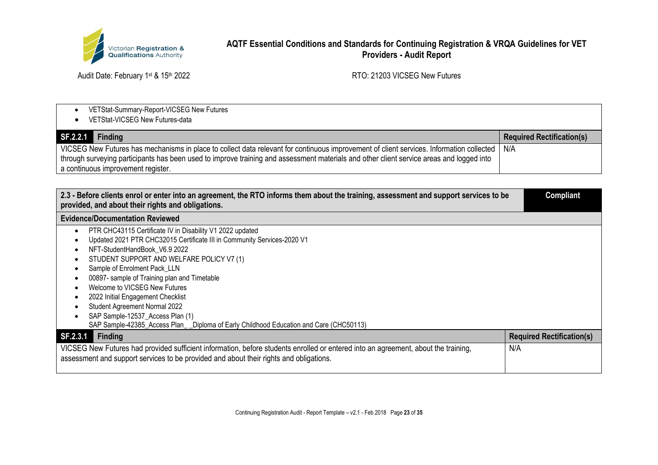

| VETStat-Summary-Report-VICSEG New Futures<br>VETStat-VICSEG New Futures-data                                                                                                                                                                                                                                               |                                  |
|----------------------------------------------------------------------------------------------------------------------------------------------------------------------------------------------------------------------------------------------------------------------------------------------------------------------------|----------------------------------|
| SF.2.2.1<br>Finding                                                                                                                                                                                                                                                                                                        | <b>Required Rectification(s)</b> |
| VICSEG New Futures has mechanisms in place to collect data relevant for continuous improvement of client services. Information collected<br>through surveying participants has been used to improve training and assessment materials and other client service areas and logged into<br>a continuous improvement register. | N/A                              |

| 2.3 - Before clients enrol or enter into an agreement, the RTO informs them about the training, assessment and support services to be<br>provided, and about their rights and obligations.                                                                                                                                                                                                                                                                                                                                              | <b>Compliant</b>                 |
|-----------------------------------------------------------------------------------------------------------------------------------------------------------------------------------------------------------------------------------------------------------------------------------------------------------------------------------------------------------------------------------------------------------------------------------------------------------------------------------------------------------------------------------------|----------------------------------|
| <b>Evidence/Documentation Reviewed</b>                                                                                                                                                                                                                                                                                                                                                                                                                                                                                                  |                                  |
| PTR CHC43115 Certificate IV in Disability V1 2022 updated<br>Updated 2021 PTR CHC32015 Certificate III in Community Services-2020 V1<br>NFT-StudentHandBook V6.9 2022<br>STUDENT SUPPORT AND WELFARE POLICY V7 (1)<br>Sample of Enrolment Pack_LLN<br>00897- sample of Training plan and Timetable<br>Welcome to VICSEG New Futures<br>2022 Initial Engagement Checklist<br>Student Agreement Normal 2022<br>SAP Sample-12537_Access Plan (1)<br>SAP Sample-42385_Access Plan__Diploma of Early Childhood Education and Care (CHC50113) |                                  |
| SF.2.3.1<br><b>Finding</b>                                                                                                                                                                                                                                                                                                                                                                                                                                                                                                              | <b>Required Rectification(s)</b> |
| VICSEG New Futures had provided sufficient information, before students enrolled or entered into an agreement, about the training,<br>assessment and support services to be provided and about their rights and obligations.                                                                                                                                                                                                                                                                                                            | N/A                              |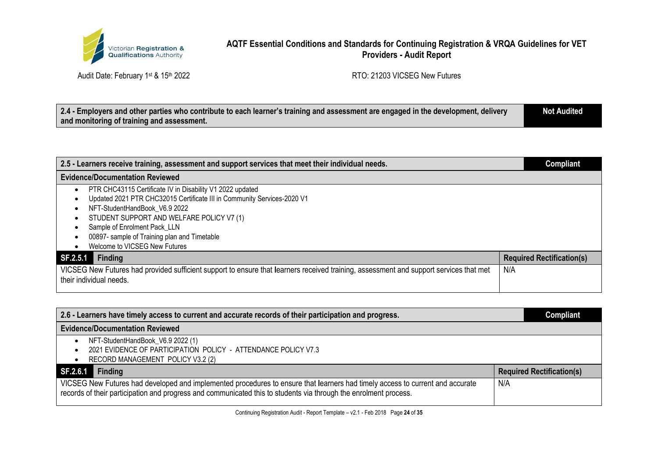

Audit Date: February 1st & 15th 2022 **RTO: 21203 VICSEG New Futures** 

| 2.4 - Employers and other parties who contribute to each learner's training and assessment are engaged in the development, delivery | <b>Not Audited</b> |
|-------------------------------------------------------------------------------------------------------------------------------------|--------------------|
| and monitoring of training and assessment.                                                                                          |                    |

| 2.5 - Learners receive training, assessment and support services that meet their individual needs.                                     | <b>Compliant</b>                 |
|----------------------------------------------------------------------------------------------------------------------------------------|----------------------------------|
| <b>Evidence/Documentation Reviewed</b>                                                                                                 |                                  |
| PTR CHC43115 Certificate IV in Disability V1 2022 updated                                                                              |                                  |
| Updated 2021 PTR CHC32015 Certificate III in Community Services-2020 V1                                                                |                                  |
| NFT-StudentHandBook V6.9 2022                                                                                                          |                                  |
| STUDENT SUPPORT AND WELFARE POLICY V7 (1)                                                                                              |                                  |
| Sample of Enrolment Pack LLN                                                                                                           |                                  |
| 00897- sample of Training plan and Timetable                                                                                           |                                  |
| Welcome to VICSEG New Futures                                                                                                          |                                  |
| <b>Finding</b><br>SF.2.5.1                                                                                                             | <b>Required Rectification(s)</b> |
| VICSEG New Futures had provided sufficient support to ensure that learners received training, assessment and support services that met | N/A                              |
| their individual needs.                                                                                                                |                                  |
|                                                                                                                                        |                                  |

| 2.6 - Learners have timely access to current and accurate records of their participation and progress.                                                                                                                                            | <b>Compliant</b>                 |
|---------------------------------------------------------------------------------------------------------------------------------------------------------------------------------------------------------------------------------------------------|----------------------------------|
| <b>Evidence/Documentation Reviewed</b>                                                                                                                                                                                                            |                                  |
| NFT-StudentHandBook_V6.9 2022 (1)                                                                                                                                                                                                                 |                                  |
| 2021 EVIDENCE OF PARTICIPATION POLICY - ATTENDANCE POLICY V7.3                                                                                                                                                                                    |                                  |
| RECORD MANAGEMENT POLICY V3.2 (2)                                                                                                                                                                                                                 |                                  |
| SF.2.6.1<br><b>Finding</b>                                                                                                                                                                                                                        | <b>Required Rectification(s)</b> |
| VICSEG New Futures had developed and implemented procedures to ensure that learners had timely access to current and accurate<br>records of their participation and progress and communicated this to students via through the enrolment process. | N/A                              |

Continuing Registration Audit - Report Template – v2.1 - Feb 2018 Page **24** of **35**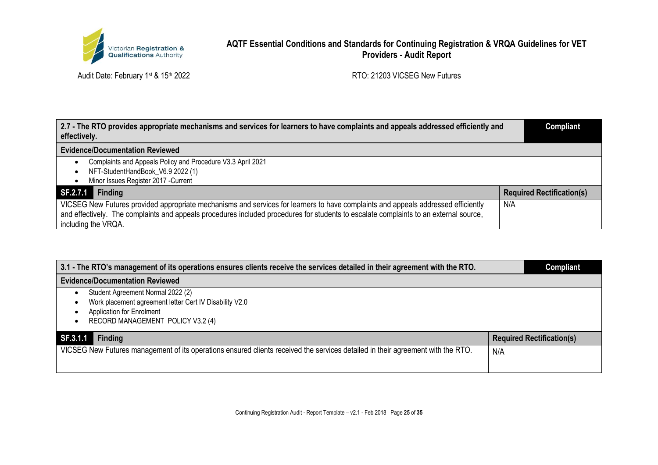

| 2.7 - The RTO provides appropriate mechanisms and services for learners to have complaints and appeals addressed efficiently and<br>effectively.             | <b>Compliant</b>                 |
|--------------------------------------------------------------------------------------------------------------------------------------------------------------|----------------------------------|
| <b>Evidence/Documentation Reviewed</b>                                                                                                                       |                                  |
| Complaints and Appeals Policy and Procedure V3.3 April 2021                                                                                                  |                                  |
| NFT-StudentHandBook V6.9 2022 (1)                                                                                                                            |                                  |
| Minor Issues Register 2017 - Current                                                                                                                         |                                  |
| <b>Finding</b><br>SF.2.7.1                                                                                                                                   | <b>Required Rectification(s)</b> |
| VICSEG New Futures provided appropriate mechanisms and services for learners to have complaints and appeals addressed efficiently                            | N/A                              |
| and effectively. The complaints and appeals procedures included procedures for students to escalate complaints to an external source,<br>including the VRQA. |                                  |

| 3.1 - The RTO's management of its operations ensures clients receive the services detailed in their agreement with the RTO.                                    | <b>Compliant</b>                 |
|----------------------------------------------------------------------------------------------------------------------------------------------------------------|----------------------------------|
| <b>Evidence/Documentation Reviewed</b>                                                                                                                         |                                  |
| Student Agreement Normal 2022 (2)<br>Work placement agreement letter Cert IV Disability V2.0<br>Application for Enrolment<br>RECORD MANAGEMENT POLICY V3.2 (4) |                                  |
| SF.3.1.1<br>Finding                                                                                                                                            | <b>Required Rectification(s)</b> |
| VICSEG New Futures management of its operations ensured clients received the services detailed in their agreement with the RTO.                                | N/A                              |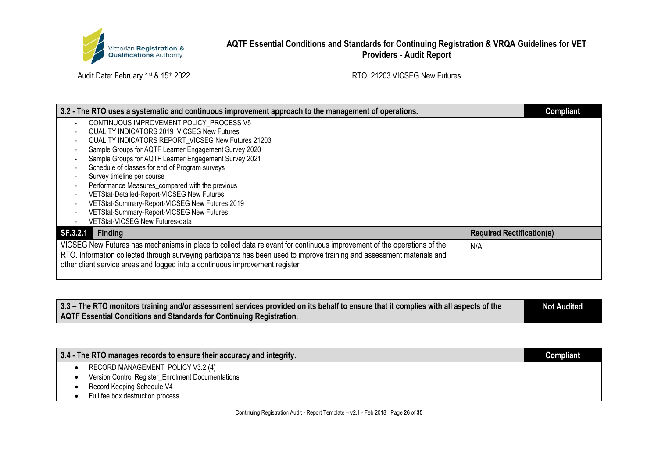

| 3.2 - The RTO uses a systematic and continuous improvement approach to the management of operations.                     |                                  | <b>Compliant</b> |
|--------------------------------------------------------------------------------------------------------------------------|----------------------------------|------------------|
| CONTINUOUS IMPROVEMENT POLICY PROCESS V5                                                                                 |                                  |                  |
| <b>QUALITY INDICATORS 2019 VICSEG New Futures</b>                                                                        |                                  |                  |
| QUALITY INDICATORS REPORT_VICSEG New Futures 21203                                                                       |                                  |                  |
| Sample Groups for AQTF Learner Engagement Survey 2020                                                                    |                                  |                  |
| Sample Groups for AQTF Learner Engagement Survey 2021                                                                    |                                  |                  |
| Schedule of classes for end of Program surveys                                                                           |                                  |                  |
| Survey timeline per course                                                                                               |                                  |                  |
| Performance Measures_compared with the previous                                                                          |                                  |                  |
| VETStat-Detailed-Report-VICSEG New Futures                                                                               |                                  |                  |
| VETStat-Summary-Report-VICSEG New Futures 2019                                                                           |                                  |                  |
| VETStat-Summary-Report-VICSEG New Futures                                                                                |                                  |                  |
| VETStat-VICSEG New Futures-data                                                                                          |                                  |                  |
| <b>Finding</b><br>SF.3.2.1                                                                                               | <b>Required Rectification(s)</b> |                  |
| VICSEG New Futures has mechanisms in place to collect data relevant for continuous improvement of the operations of the  | N/A                              |                  |
| RTO. Information collected through surveying participants has been used to improve training and assessment materials and |                                  |                  |
| other client service areas and logged into a continuous improvement register                                             |                                  |                  |
|                                                                                                                          |                                  |                  |

| 3.3 – The RTO monitors training and/or assessment services provided on its behalf to ensure that it complies with all aspects of the | <b>Not Audited</b> |
|--------------------------------------------------------------------------------------------------------------------------------------|--------------------|
| AQTF Essential Conditions and Standards for Continuing Registration.                                                                 |                    |

| 3.4 - The RTO manages records to ensure their accuracy and integrity. | Compliant |
|-----------------------------------------------------------------------|-----------|
| RECORD MANAGEMENT POLICY V3.2 (4)                                     |           |
| Version Control Register_Enrolment Documentations                     |           |
| Record Keeping Schedule V4                                            |           |
| Full fee box destruction process                                      |           |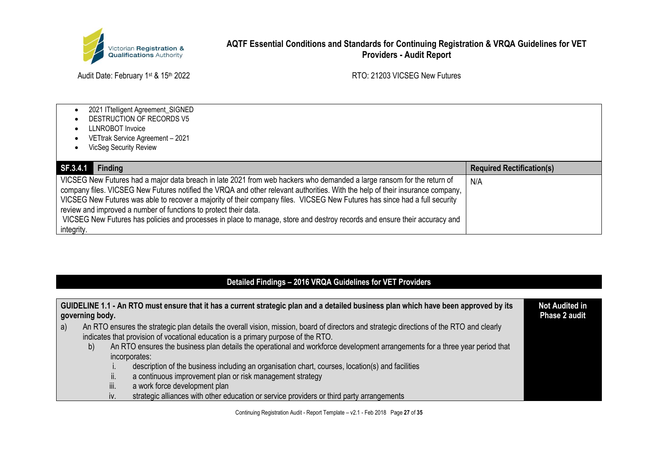

Audit Date: February 1st & 15th 2022 Audit Date: February 1st & 15th 2022

- 2021 ITtelligent Agreement\_SIGNED
- DESTRUCTION OF RECORDS V5
- LLNROBOT Invoice
- VETtrak Service Agreement 2021
- VicSeg Security Review

| SF.3.4.1<br><b>Finding</b>                                                                                                                                                                                                                                                                                                                                                                                                                                                                                                                                                                           | <b>Required Rectification(s)</b> |
|------------------------------------------------------------------------------------------------------------------------------------------------------------------------------------------------------------------------------------------------------------------------------------------------------------------------------------------------------------------------------------------------------------------------------------------------------------------------------------------------------------------------------------------------------------------------------------------------------|----------------------------------|
| VICSEG New Futures had a major data breach in late 2021 from web hackers who demanded a large ransom for the return of<br>company files. VICSEG New Futures notified the VRQA and other relevant authorities. With the help of their insurance company,<br>VICSEG New Futures was able to recover a majority of their company files. VICSEG New Futures has since had a full security<br>review and improved a number of functions to protect their data.<br>VICSEG New Futures has policies and processes in place to manage, store and destroy records and ensure their accuracy and<br>integrity. | N/A                              |

# **Detailed Findings – 2016 VRQA Guidelines for VET Providers**

|   | governing body. |      | GUIDELINE 1.1 - An RTO must ensure that it has a current strategic plan and a detailed business plan which have been approved by its      | <b>Not Audited in</b><br><b>Phase 2 audit</b> |
|---|-----------------|------|-------------------------------------------------------------------------------------------------------------------------------------------|-----------------------------------------------|
| a |                 |      | An RTO ensures the strategic plan details the overall vision, mission, board of directors and strategic directions of the RTO and clearly |                                               |
|   |                 |      | indicates that provision of vocational education is a primary purpose of the RTO.                                                         |                                               |
|   | b)              |      | An RTO ensures the business plan details the operational and workforce development arrangements for a three year period that              |                                               |
|   |                 |      | incorporates:                                                                                                                             |                                               |
|   |                 |      | description of the business including an organisation chart, courses, location(s) and facilities                                          |                                               |
|   |                 | II.  | a continuous improvement plan or risk management strategy                                                                                 |                                               |
|   |                 | iii. | a work force development plan                                                                                                             |                                               |
|   |                 | IV.  | strategic alliances with other education or service providers or third party arrangements                                                 |                                               |

Continuing Registration Audit - Report Template – v2.1 - Feb 2018 Page **27** of **35**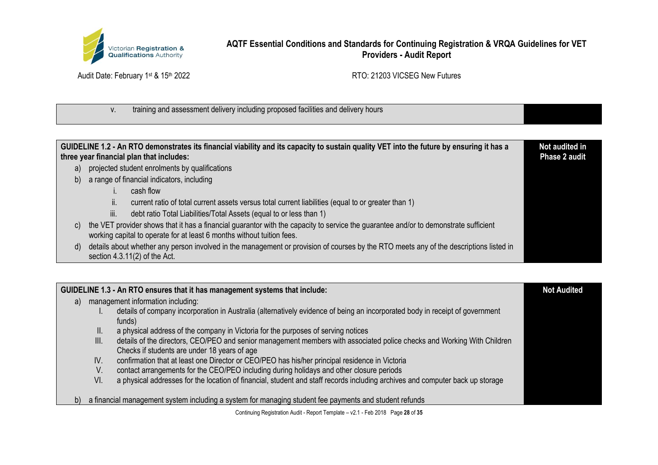

Audit Date: February 1st & 15th 2022 **RTO: 21203 VICSEG New Futures** 

# v. training and assessment delivery including proposed facilities and delivery hours

|    |      | GUIDELINE 1.2 - An RTO demonstrates its financial viability and its capacity to sustain quality VET into the future by ensuring it has a<br>three year financial plan that includes:                           | Not audited in<br>Phase 2 audit |
|----|------|----------------------------------------------------------------------------------------------------------------------------------------------------------------------------------------------------------------|---------------------------------|
| a) |      | projected student enrolments by qualifications                                                                                                                                                                 |                                 |
|    |      | b) a range of financial indicators, including                                                                                                                                                                  |                                 |
|    |      | cash flow                                                                                                                                                                                                      |                                 |
|    | II.  | current ratio of total current assets versus total current liabilities (equal to or greater than 1)                                                                                                            |                                 |
|    | iii. | debt ratio Total Liabilities/Total Assets (equal to or less than 1)                                                                                                                                            |                                 |
| C) |      | the VET provider shows that it has a financial guarantor with the capacity to service the guarantee and/or to demonstrate sufficient<br>working capital to operate for at least 6 months without tuition fees. |                                 |
| d) |      | details about whether any person involved in the management or provision of courses by the RTO meets any of the descriptions listed in<br>section $4.3.11(2)$ of the Act.                                      |                                 |

|    |      | GUIDELINE 1.3 - An RTO ensures that it has management systems that include:                                                                                             | <b>Not Audited</b> |
|----|------|-------------------------------------------------------------------------------------------------------------------------------------------------------------------------|--------------------|
| a) |      | management information including:                                                                                                                                       |                    |
|    |      | details of company incorporation in Australia (alternatively evidence of being an incorporated body in receipt of government<br>funds)                                  |                    |
|    | II.  | a physical address of the company in Victoria for the purposes of serving notices                                                                                       |                    |
|    | III. | details of the directors, CEO/PEO and senior management members with associated police checks and Working With Children<br>Checks if students are under 18 years of age |                    |
|    | IV.  | confirmation that at least one Director or CEO/PEO has his/her principal residence in Victoria                                                                          |                    |
|    | V.   | contact arrangements for the CEO/PEO including during holidays and other closure periods                                                                                |                    |
|    | VI.  | a physical addresses for the location of financial, student and staff records including archives and computer back up storage                                           |                    |
| b) |      | a financial management system including a system for managing student fee payments and student refunds                                                                  |                    |

Continuing Registration Audit - Report Template – v2.1 - Feb 2018 Page **28** of **35**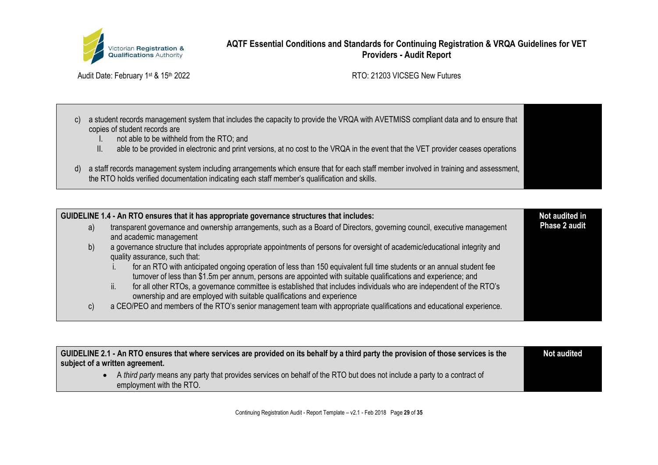

Audit Date: February 1st & 15th 2022 Audit Date: February 1st & 15th 2022

- c) a student records management system that includes the capacity to provide the VRQA with AVETMISS compliant data and to ensure that copies of student records are
	- I. not able to be withheld from the RTO; and
	- II. able to be provided in electronic and print versions, at no cost to the VRQA in the event that the VET provider ceases operations
- d) a staff records management system including arrangements which ensure that for each staff member involved in training and assessment, the RTO holds verified documentation indicating each staff member's qualification and skills.

| GUIDELINE 1.4 - An RTO ensures that it has appropriate governance structures that includes: |                                                                                                                                                                                                                                         |                      |
|---------------------------------------------------------------------------------------------|-----------------------------------------------------------------------------------------------------------------------------------------------------------------------------------------------------------------------------------------|----------------------|
| a)                                                                                          | transparent governance and ownership arrangements, such as a Board of Directors, governing council, executive management<br>and academic management                                                                                     | <b>Phase 2 audit</b> |
| b)                                                                                          | a governance structure that includes appropriate appointments of persons for oversight of academic/educational integrity and<br>quality assurance, such that:                                                                           |                      |
|                                                                                             | for an RTO with anticipated ongoing operation of less than 150 equivalent full time students or an annual student fee<br>turnover of less than \$1.5m per annum, persons are appointed with suitable qualifications and experience; and |                      |
|                                                                                             | for all other RTOs, a governance committee is established that includes individuals who are independent of the RTO's<br>II.<br>ownership and are employed with suitable qualifications and experience                                   |                      |
| C)                                                                                          | a CEO/PEO and members of the RTO's senior management team with appropriate qualifications and educational experience.                                                                                                                   |                      |

| GUIDELINE 2.1 - An RTO ensures that where services are provided on its behalf by a third party the provision of those services is the<br>subject of a written agreement. | <b>Not audited</b> |
|--------------------------------------------------------------------------------------------------------------------------------------------------------------------------|--------------------|
| A third party means any party that provides services on behalf of the RTO but does not include a party to a contract of<br>employment with the RTO.                      |                    |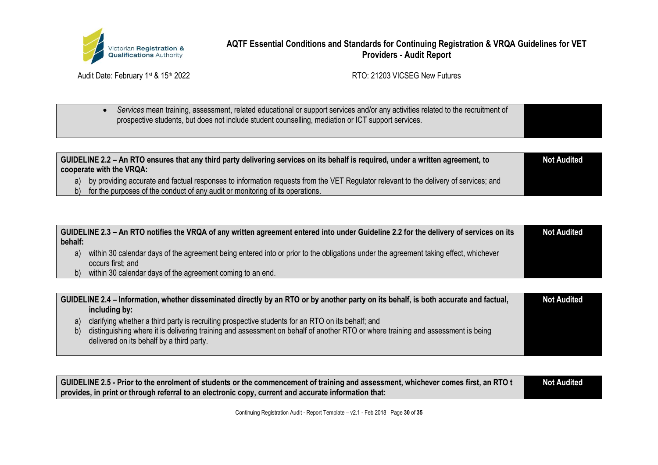

Audit Date: February 1st & 15th 2022 Audit Date: February 1st & 15th 2022

• *Services* mean training, assessment, related educational or support services and/or any activities related to the recruitment of prospective students, but does not include student counselling, mediation or ICT support services.

| GUIDELINE 2.2 - An RTO ensures that any third party delivering services on its behalf is required, under a written agreement, to<br>cooperate with the VRQA: |  |
|--------------------------------------------------------------------------------------------------------------------------------------------------------------|--|
| a) by providing accurate and factual responses to information requests from the VET Regulator relevant to the delivery of services; and                      |  |
| b) for the purposes of the conduct of any audit or monitoring of its operations.                                                                             |  |

| behalf: | GUIDELINE 2.3 – An RTO notifies the VRQA of any written agreement entered into under Guideline 2.2 for the delivery of services on its | <b>Not Audited</b> |
|---------|----------------------------------------------------------------------------------------------------------------------------------------|--------------------|
|         | within 30 calendar days of the agreement being entered into or prior to the obligations under the agreement taking effect, whichever   |                    |
|         | occurs first; and                                                                                                                      |                    |
|         | within 30 calendar days of the agreement coming to an end.                                                                             |                    |

|     | GUIDELINE 2.4 – Information, whether disseminated directly by an RTO or by another party on its behalf, is both accurate and factual, | <b>Not Audited</b> |
|-----|---------------------------------------------------------------------------------------------------------------------------------------|--------------------|
|     | including by:                                                                                                                         |                    |
| a)  | clarifying whether a third party is recruiting prospective students for an RTO on its behalf; and                                     |                    |
| b). | distinguishing where it is delivering training and assessment on behalf of another RTO or where training and assessment is being      |                    |
|     | delivered on its behalf by a third party.                                                                                             |                    |
|     |                                                                                                                                       |                    |

| GUIDELINE 2.5 - Prior to the enrolment of students or the commencement of training and assessment, whichever comes first, an RTO t | <b>Not Audited</b> |
|------------------------------------------------------------------------------------------------------------------------------------|--------------------|
| provides, in print or through referral to an electronic copy, current and accurate information that:                               |                    |

Continuing Registration Audit - Report Template – v2.1 - Feb 2018 Page **30** of **35**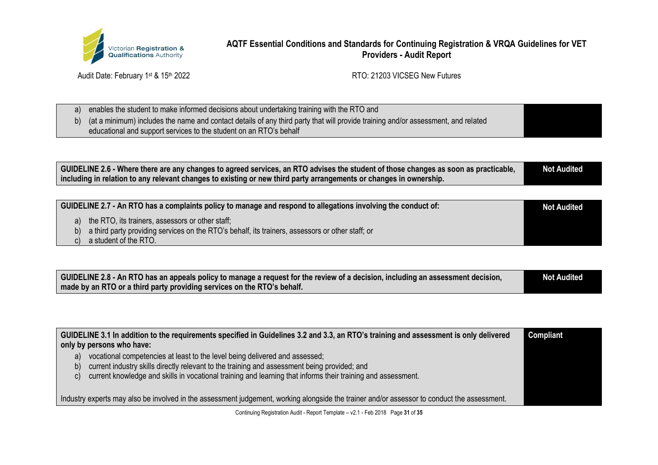

Audit Date: February 1st & 15th 2022 **RTO: 21203 VICSEG New Futures** 

| enables the student to make informed decisions about undertaking training with the RTO and                                           |  |
|--------------------------------------------------------------------------------------------------------------------------------------|--|
| b) (at a minimum) includes the name and contact details of any third party that will provide training and/or assessment, and related |  |
| educational and support services to the student on an RTO's behalf                                                                   |  |

| GUIDELINE 2.6 - Where there are any changes to agreed services, an RTO advises the student of those changes as soon as practicable, | <b>Not Audited</b> |
|-------------------------------------------------------------------------------------------------------------------------------------|--------------------|
| including in relation to any relevant changes to existing or new third party arrangements or changes in ownership.                  |                    |

| GUIDELINE 2.7 - An RTO has a complaints policy to manage and respond to allegations involving the conduct of: | <b>Not Audited</b> |
|---------------------------------------------------------------------------------------------------------------|--------------------|
| a) the RTO, its trainers, assessors or other staff;                                                           |                    |
| b) a third party providing services on the RTO's behalf, its trainers, assessors or other staff; or           |                    |

c) a student of the RTO.

| GUIDELINE 2.8 - An RTO has an appeals policy to manage a request for the review of a decision, including an assessment decision, | <b>Not Audited</b> |
|----------------------------------------------------------------------------------------------------------------------------------|--------------------|
| made by an RTO or a third party providing services on the RTO's behalf.                                                          |                    |

| GUIDELINE 3.1 In addition to the requirements specified in Guidelines 3.2 and 3.3, an RTO's training and assessment is only delivered<br>only by persons who have:                                                                                                                                      | <b>Compliant</b> |
|---------------------------------------------------------------------------------------------------------------------------------------------------------------------------------------------------------------------------------------------------------------------------------------------------------|------------------|
| vocational competencies at least to the level being delivered and assessed;<br>a)<br>current industry skills directly relevant to the training and assessment being provided; and<br>D)<br>current knowledge and skills in vocational training and learning that informs their training and assessment. |                  |
| Industry experts may also be involved in the assessment judgement, working alongside the trainer and/or assessor to conduct the assessment.                                                                                                                                                             |                  |

Continuing Registration Audit - Report Template – v2.1 - Feb 2018 Page **31** of **35**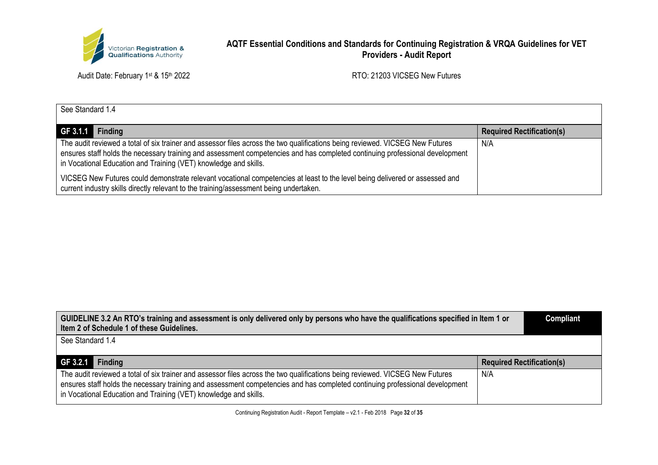

Audit Date: February 1st & 15th 2022 **RTO: 21203 VICSEG New Futures** 

| See Standard 1.4                                                                                                                                                                                                                                                                                                                  |                                  |  |
|-----------------------------------------------------------------------------------------------------------------------------------------------------------------------------------------------------------------------------------------------------------------------------------------------------------------------------------|----------------------------------|--|
| GF 3.1.1 Finding                                                                                                                                                                                                                                                                                                                  | <b>Required Rectification(s)</b> |  |
| The audit reviewed a total of six trainer and assessor files across the two qualifications being reviewed. VICSEG New Futures<br>ensures staff holds the necessary training and assessment competencies and has completed continuing professional development<br>in Vocational Education and Training (VET) knowledge and skills. | N/A                              |  |
| VICSEG New Futures could demonstrate relevant vocational competencies at least to the level being delivered or assessed and<br>current industry skills directly relevant to the training/assessment being undertaken.                                                                                                             |                                  |  |

| GUIDELINE 3.2 An RTO's training and assessment is only delivered only by persons who have the qualifications specified in Item 1 or<br>Item 2 of Schedule 1 of these Guidelines.                                                                                                                                                  |                                  |  |  |
|-----------------------------------------------------------------------------------------------------------------------------------------------------------------------------------------------------------------------------------------------------------------------------------------------------------------------------------|----------------------------------|--|--|
| See Standard 1.4                                                                                                                                                                                                                                                                                                                  |                                  |  |  |
| GF 3.2.1 Finding                                                                                                                                                                                                                                                                                                                  | <b>Required Rectification(s)</b> |  |  |
| The audit reviewed a total of six trainer and assessor files across the two qualifications being reviewed. VICSEG New Futures<br>ensures staff holds the necessary training and assessment competencies and has completed continuing professional development<br>in Vocational Education and Training (VET) knowledge and skills. | N/A                              |  |  |

Continuing Registration Audit - Report Template – v2.1 - Feb 2018 Page **32** of **35**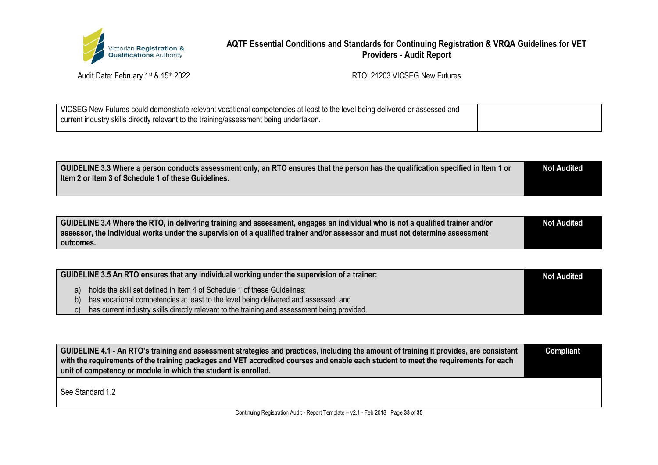

Audit Date: February 1st & 15th 2022 Audit Date: February 1st & 15th 2022

| VICSEG New Futures could demonstrate relevant vocational competencies at least to the level being delivered or assessed and |  |
|-----------------------------------------------------------------------------------------------------------------------------|--|
| current industry skills directly relevant to the training/assessment being undertaken.                                      |  |
|                                                                                                                             |  |

| GUIDELINE 3.3 Where a person conducts assessment only, an RTO ensures that the person has the qualification specified in Item 1 or | <b>Not Audited</b> |
|------------------------------------------------------------------------------------------------------------------------------------|--------------------|
| Item 2 or Item 3 of Schedule 1 of these Guidelines.                                                                                |                    |
|                                                                                                                                    |                    |

| GUIDELINE 3.4 Where the RTO, in delivering training and assessment, engages an individual who is not a qualified trainer and/or | Not Audited |
|---------------------------------------------------------------------------------------------------------------------------------|-------------|
| assessor, the individual works under the supervision of a qualified trainer and/or assessor and must not determine assessment   |             |
| outcomes.                                                                                                                       |             |

|    | GUIDELINE 3.5 An RTO ensures that any individual working under the supervision of a trainer: | <b>Not Audited</b> |
|----|----------------------------------------------------------------------------------------------|--------------------|
| a) | holds the skill set defined in Item 4 of Schedule 1 of these Guidelines;                     |                    |
| b) | has vocational competencies at least to the level being delivered and assessed; and          |                    |
|    | has current industry skills directly relevant to the training and assessment being provided. |                    |

**GUIDELINE 4.1 - An RTO's training and assessment strategies and practices, including the amount of training it provides, are consistent with the requirements of the training packages and VET accredited courses and enable each student to meet the requirements for each unit of competency or module in which the student is enrolled. Compliant**

See Standard 1.2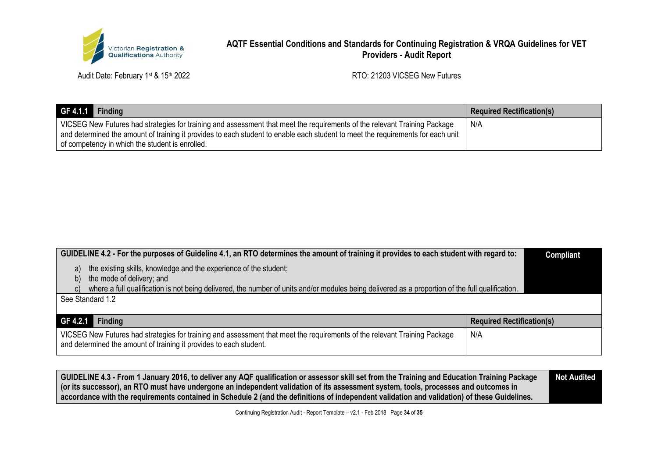

Audit Date: February 1st & 15th 2022 Audit Date: February 1st & 15th 2022

| $GF 4.1.1$ Finding                                                                                                                                                                                                                                                                                              | <b>Required Rectification(s)</b> |
|-----------------------------------------------------------------------------------------------------------------------------------------------------------------------------------------------------------------------------------------------------------------------------------------------------------------|----------------------------------|
| VICSEG New Futures had strategies for training and assessment that meet the requirements of the relevant Training Package<br>and determined the amount of training it provides to each student to enable each student to meet the requirements for each unit<br>of competency in which the student is enrolled. | N/A                              |

| GUIDELINE 4.2 - For the purposes of Guideline 4.1, an RTO determines the amount of training it provides to each student with regard to:                                                         |                                  | <b>Compliant</b> |  |
|-------------------------------------------------------------------------------------------------------------------------------------------------------------------------------------------------|----------------------------------|------------------|--|
| the existing skills, knowledge and the experience of the student;<br>a)<br>the mode of delivery; and<br>b)                                                                                      |                                  |                  |  |
| where a full qualification is not being delivered, the number of units and/or modules being delivered as a proportion of the full qualification.                                                |                                  |                  |  |
| See Standard 1.2                                                                                                                                                                                |                                  |                  |  |
| GF 4.2.1<br><b>Finding</b>                                                                                                                                                                      | <b>Required Rectification(s)</b> |                  |  |
| VICSEG New Futures had strategies for training and assessment that meet the requirements of the relevant Training Package<br>and determined the amount of training it provides to each student. | N/A                              |                  |  |

**GUIDELINE 4.3 - From 1 January 2016, to deliver any AQF qualification or assessor skill set from the Training and Education Training Package (or its successor), an RTO must have undergone an independent validation of its assessment system, tools, processes and outcomes in accordance with the requirements contained in Schedule 2 (and the definitions of independent validation and validation) of these Guidelines. Not Audited**

Continuing Registration Audit - Report Template – v2.1 - Feb 2018 Page **34** of **35**